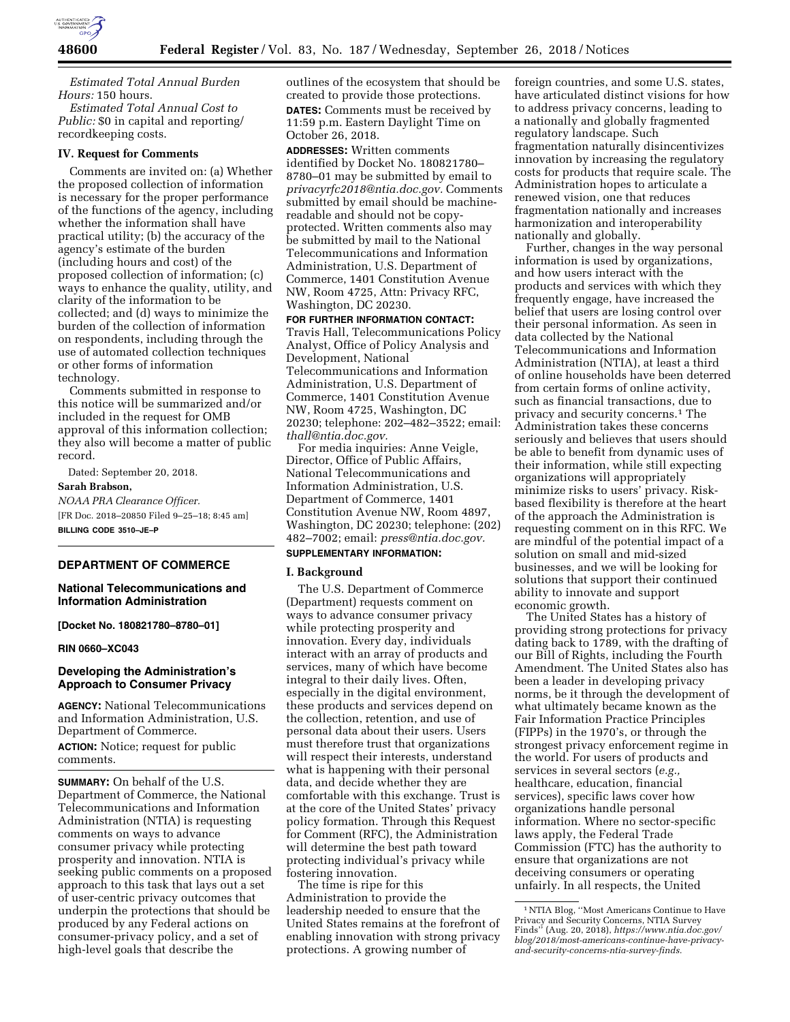

*Estimated Total Annual Burden Hours:* 150 hours.

*Estimated Total Annual Cost to Public:* \$0 in capital and reporting/ recordkeeping costs.

## **IV. Request for Comments**

Comments are invited on: (a) Whether the proposed collection of information is necessary for the proper performance of the functions of the agency, including whether the information shall have practical utility; (b) the accuracy of the agency's estimate of the burden (including hours and cost) of the proposed collection of information; (c) ways to enhance the quality, utility, and clarity of the information to be collected; and (d) ways to minimize the burden of the collection of information on respondents, including through the use of automated collection techniques or other forms of information technology.

Comments submitted in response to this notice will be summarized and/or included in the request for OMB approval of this information collection; they also will become a matter of public record.

Dated: September 20, 2018.

**Sarah Brabson,** 

*NOAA PRA Clearance Officer.*  [FR Doc. 2018–20850 Filed 9–25–18; 8:45 am] **BILLING CODE 3510–JE–P** 

## **DEPARTMENT OF COMMERCE**

## **National Telecommunications and Information Administration**

**[Docket No. 180821780–8780–01]** 

### **RIN 0660–XC043**

## **Developing the Administration's Approach to Consumer Privacy**

**AGENCY:** National Telecommunications and Information Administration, U.S. Department of Commerce.

**ACTION:** Notice; request for public comments.

**SUMMARY:** On behalf of the U.S. Department of Commerce, the National Telecommunications and Information Administration (NTIA) is requesting comments on ways to advance consumer privacy while protecting prosperity and innovation. NTIA is seeking public comments on a proposed approach to this task that lays out a set of user-centric privacy outcomes that underpin the protections that should be produced by any Federal actions on consumer-privacy policy, and a set of high-level goals that describe the

outlines of the ecosystem that should be created to provide those protections. **DATES:** Comments must be received by 11:59 p.m. Eastern Daylight Time on October 26, 2018.

**ADDRESSES:** Written comments identified by Docket No. 180821780– 8780–01 may be submitted by email to *[privacyrfc2018@ntia.doc.gov.](mailto:privacyrfc2018@ntia.doc.gov)* Comments submitted by email should be machinereadable and should not be copyprotected. Written comments also may be submitted by mail to the National Telecommunications and Information Administration, U.S. Department of Commerce, 1401 Constitution Avenue NW, Room 4725, Attn: Privacy RFC, Washington, DC 20230.

**FOR FURTHER INFORMATION CONTACT:**  Travis Hall, Telecommunications Policy Analyst, Office of Policy Analysis and Development, National Telecommunications and Information Administration, U.S. Department of Commerce, 1401 Constitution Avenue NW, Room 4725, Washington, DC 20230; telephone: 202–482–3522; email: *[thall@ntia.doc.gov.](mailto:thall@ntia.doc.gov)* 

For media inquiries: Anne Veigle, Director, Office of Public Affairs, National Telecommunications and Information Administration, U.S. Department of Commerce, 1401 Constitution Avenue NW, Room 4897, Washington, DC 20230; telephone: (202) 482–7002; email: *[press@ntia.doc.gov.](mailto:press@ntia.doc.gov)* 

# **SUPPLEMENTARY INFORMATION:**

## **I. Background**

The U.S. Department of Commerce (Department) requests comment on ways to advance consumer privacy while protecting prosperity and innovation. Every day, individuals interact with an array of products and services, many of which have become integral to their daily lives. Often, especially in the digital environment, these products and services depend on the collection, retention, and use of personal data about their users. Users must therefore trust that organizations will respect their interests, understand what is happening with their personal data, and decide whether they are comfortable with this exchange. Trust is at the core of the United States' privacy policy formation. Through this Request for Comment (RFC), the Administration will determine the best path toward protecting individual's privacy while fostering innovation.

The time is ripe for this Administration to provide the leadership needed to ensure that the United States remains at the forefront of enabling innovation with strong privacy protections. A growing number of

foreign countries, and some U.S. states, have articulated distinct visions for how to address privacy concerns, leading to a nationally and globally fragmented regulatory landscape. Such fragmentation naturally disincentivizes innovation by increasing the regulatory costs for products that require scale. The Administration hopes to articulate a renewed vision, one that reduces fragmentation nationally and increases harmonization and interoperability nationally and globally.

Further, changes in the way personal information is used by organizations, and how users interact with the products and services with which they frequently engage, have increased the belief that users are losing control over their personal information. As seen in data collected by the National Telecommunications and Information Administration (NTIA), at least a third of online households have been deterred from certain forms of online activity, such as financial transactions, due to privacy and security concerns.1 The Administration takes these concerns seriously and believes that users should be able to benefit from dynamic uses of their information, while still expecting organizations will appropriately minimize risks to users' privacy. Riskbased flexibility is therefore at the heart of the approach the Administration is requesting comment on in this RFC. We are mindful of the potential impact of a solution on small and mid-sized businesses, and we will be looking for solutions that support their continued ability to innovate and support economic growth.

The United States has a history of providing strong protections for privacy dating back to 1789, with the drafting of our Bill of Rights, including the Fourth Amendment. The United States also has been a leader in developing privacy norms, be it through the development of what ultimately became known as the Fair Information Practice Principles (FIPPs) in the 1970's, or through the strongest privacy enforcement regime in the world. For users of products and services in several sectors (*e.g.,*  healthcare, education, financial services), specific laws cover how organizations handle personal information. Where no sector-specific laws apply, the Federal Trade Commission (FTC) has the authority to ensure that organizations are not deceiving consumers or operating unfairly. In all respects, the United

<sup>1</sup>NTIA Blog, ''Most Americans Continue to Have Privacy and Security Concerns, NTIA Survey Finds'' (Aug. 20, 2018), *[https://www.ntia.doc.gov/](https://www.ntia.doc.gov/blog/2018/most-americans-continue-have-privacy-and-security-concerns-ntia-survey-finds)  [blog/2018/most-americans-continue-have-privacy](https://www.ntia.doc.gov/blog/2018/most-americans-continue-have-privacy-and-security-concerns-ntia-survey-finds)[and-security-concerns-ntia-survey-finds.](https://www.ntia.doc.gov/blog/2018/most-americans-continue-have-privacy-and-security-concerns-ntia-survey-finds)*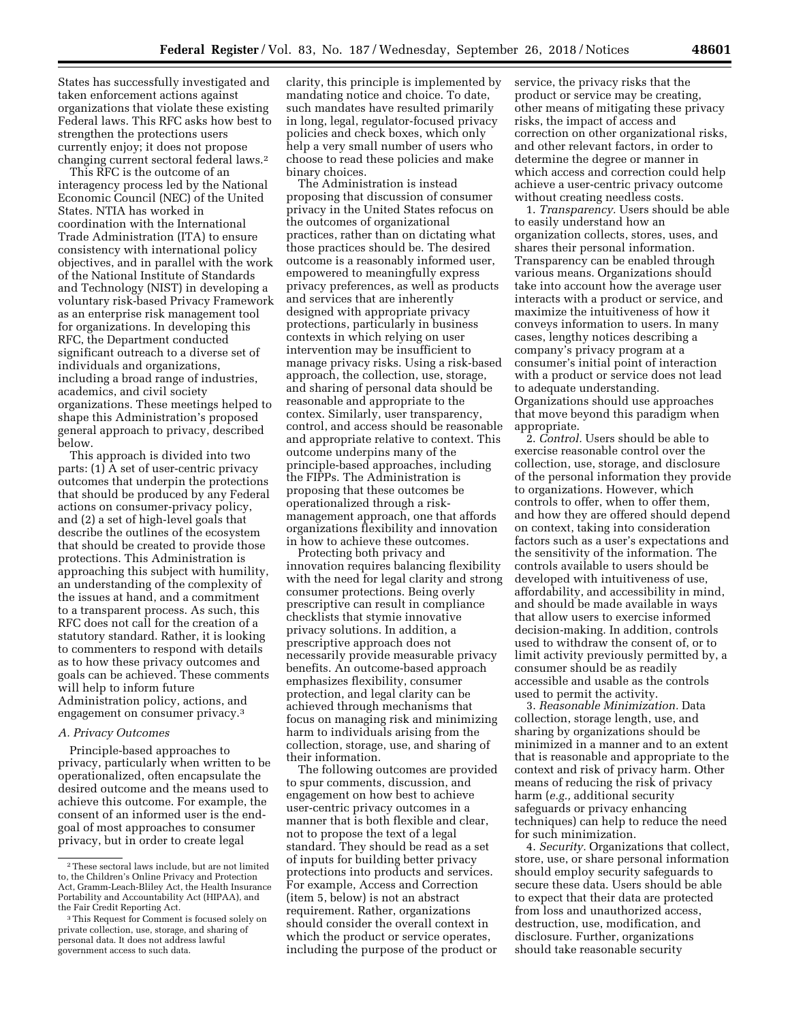States has successfully investigated and taken enforcement actions against organizations that violate these existing Federal laws. This RFC asks how best to strengthen the protections users currently enjoy; it does not propose changing current sectoral federal laws.2

This RFC is the outcome of an interagency process led by the National Economic Council (NEC) of the United States. NTIA has worked in coordination with the International Trade Administration (ITA) to ensure consistency with international policy objectives, and in parallel with the work of the National Institute of Standards and Technology (NIST) in developing a voluntary risk-based Privacy Framework as an enterprise risk management tool for organizations. In developing this RFC, the Department conducted significant outreach to a diverse set of individuals and organizations, including a broad range of industries, academics, and civil society organizations. These meetings helped to shape this Administration's proposed general approach to privacy, described below.

This approach is divided into two parts: (1) A set of user-centric privacy outcomes that underpin the protections that should be produced by any Federal actions on consumer-privacy policy, and (2) a set of high-level goals that describe the outlines of the ecosystem that should be created to provide those protections. This Administration is approaching this subject with humility, an understanding of the complexity of the issues at hand, and a commitment to a transparent process. As such, this RFC does not call for the creation of a statutory standard. Rather, it is looking to commenters to respond with details as to how these privacy outcomes and goals can be achieved. These comments will help to inform future Administration policy, actions, and engagement on consumer privacy.3

## *A. Privacy Outcomes*

Principle-based approaches to privacy, particularly when written to be operationalized, often encapsulate the desired outcome and the means used to achieve this outcome. For example, the consent of an informed user is the endgoal of most approaches to consumer privacy, but in order to create legal

clarity, this principle is implemented by mandating notice and choice. To date, such mandates have resulted primarily in long, legal, regulator-focused privacy policies and check boxes, which only help a very small number of users who choose to read these policies and make binary choices.

The Administration is instead proposing that discussion of consumer privacy in the United States refocus on the outcomes of organizational practices, rather than on dictating what those practices should be. The desired outcome is a reasonably informed user, empowered to meaningfully express privacy preferences, as well as products and services that are inherently designed with appropriate privacy protections, particularly in business contexts in which relying on user intervention may be insufficient to manage privacy risks. Using a risk-based approach, the collection, use, storage, and sharing of personal data should be reasonable and appropriate to the contex. Similarly, user transparency, control, and access should be reasonable and appropriate relative to context. This outcome underpins many of the principle-based approaches, including the FIPPs. The Administration is proposing that these outcomes be operationalized through a riskmanagement approach, one that affords organizations flexibility and innovation in how to achieve these outcomes.

Protecting both privacy and innovation requires balancing flexibility with the need for legal clarity and strong consumer protections. Being overly prescriptive can result in compliance checklists that stymie innovative privacy solutions. In addition, a prescriptive approach does not necessarily provide measurable privacy benefits. An outcome-based approach emphasizes flexibility, consumer protection, and legal clarity can be achieved through mechanisms that focus on managing risk and minimizing harm to individuals arising from the collection, storage, use, and sharing of their information.

The following outcomes are provided to spur comments, discussion, and engagement on how best to achieve user-centric privacy outcomes in a manner that is both flexible and clear, not to propose the text of a legal standard. They should be read as a set of inputs for building better privacy protections into products and services. For example, Access and Correction (item 5, below) is not an abstract requirement. Rather, organizations should consider the overall context in which the product or service operates, including the purpose of the product or

service, the privacy risks that the product or service may be creating, other means of mitigating these privacy risks, the impact of access and correction on other organizational risks, and other relevant factors, in order to determine the degree or manner in which access and correction could help achieve a user-centric privacy outcome without creating needless costs.

1. *Transparency.* Users should be able to easily understand how an organization collects, stores, uses, and shares their personal information. Transparency can be enabled through various means. Organizations should take into account how the average user interacts with a product or service, and maximize the intuitiveness of how it conveys information to users. In many cases, lengthy notices describing a company's privacy program at a consumer's initial point of interaction with a product or service does not lead to adequate understanding. Organizations should use approaches that move beyond this paradigm when appropriate.

2. *Control.* Users should be able to exercise reasonable control over the collection, use, storage, and disclosure of the personal information they provide to organizations. However, which controls to offer, when to offer them, and how they are offered should depend on context, taking into consideration factors such as a user's expectations and the sensitivity of the information. The controls available to users should be developed with intuitiveness of use, affordability, and accessibility in mind, and should be made available in ways that allow users to exercise informed decision-making. In addition, controls used to withdraw the consent of, or to limit activity previously permitted by, a consumer should be as readily accessible and usable as the controls used to permit the activity.

3. *Reasonable Minimization.* Data collection, storage length, use, and sharing by organizations should be minimized in a manner and to an extent that is reasonable and appropriate to the context and risk of privacy harm. Other means of reducing the risk of privacy harm (*e.g.,* additional security safeguards or privacy enhancing techniques) can help to reduce the need for such minimization.

4. *Security.* Organizations that collect, store, use, or share personal information should employ security safeguards to secure these data. Users should be able to expect that their data are protected from loss and unauthorized access, destruction, use, modification, and disclosure. Further, organizations should take reasonable security

<sup>2</sup>These sectoral laws include, but are not limited to, the Children's Online Privacy and Protection Act, Gramm-Leach-Bliley Act, the Health Insurance Portability and Accountability Act (HIPAA), and the Fair Credit Reporting Act.

<sup>3</sup>This Request for Comment is focused solely on private collection, use, storage, and sharing of personal data. It does not address lawful government access to such data.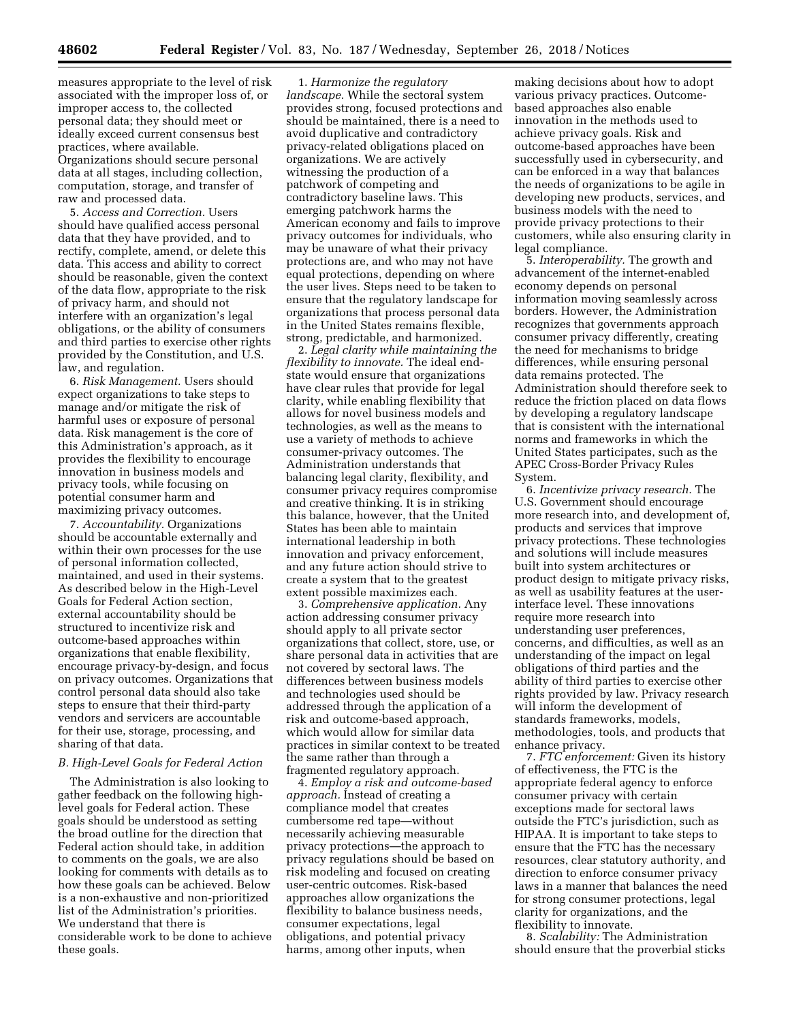measures appropriate to the level of risk associated with the improper loss of, or improper access to, the collected personal data; they should meet or ideally exceed current consensus best practices, where available. Organizations should secure personal data at all stages, including collection, computation, storage, and transfer of raw and processed data.

5. *Access and Correction.* Users should have qualified access personal data that they have provided, and to rectify, complete, amend, or delete this data. This access and ability to correct should be reasonable, given the context of the data flow, appropriate to the risk of privacy harm, and should not interfere with an organization's legal obligations, or the ability of consumers and third parties to exercise other rights provided by the Constitution, and U.S. law, and regulation.

6. *Risk Management.* Users should expect organizations to take steps to manage and/or mitigate the risk of harmful uses or exposure of personal data. Risk management is the core of this Administration's approach, as it provides the flexibility to encourage innovation in business models and privacy tools, while focusing on potential consumer harm and maximizing privacy outcomes.

7. *Accountability.* Organizations should be accountable externally and within their own processes for the use of personal information collected, maintained, and used in their systems. As described below in the High-Level Goals for Federal Action section, external accountability should be structured to incentivize risk and outcome-based approaches within organizations that enable flexibility, encourage privacy-by-design, and focus on privacy outcomes. Organizations that control personal data should also take steps to ensure that their third-party vendors and servicers are accountable for their use, storage, processing, and sharing of that data.

### *B. High-Level Goals for Federal Action*

The Administration is also looking to gather feedback on the following highlevel goals for Federal action. These goals should be understood as setting the broad outline for the direction that Federal action should take, in addition to comments on the goals, we are also looking for comments with details as to how these goals can be achieved. Below is a non-exhaustive and non-prioritized list of the Administration's priorities. We understand that there is considerable work to be done to achieve these goals.

1. *Harmonize the regulatory landscape.* While the sectoral system provides strong, focused protections and should be maintained, there is a need to avoid duplicative and contradictory privacy-related obligations placed on organizations. We are actively witnessing the production of a patchwork of competing and contradictory baseline laws. This emerging patchwork harms the American economy and fails to improve privacy outcomes for individuals, who may be unaware of what their privacy protections are, and who may not have equal protections, depending on where the user lives. Steps need to be taken to ensure that the regulatory landscape for organizations that process personal data in the United States remains flexible, strong, predictable, and harmonized.

2. *Legal clarity while maintaining the flexibility to innovate.* The ideal endstate would ensure that organizations have clear rules that provide for legal clarity, while enabling flexibility that allows for novel business models and technologies, as well as the means to use a variety of methods to achieve consumer-privacy outcomes. The Administration understands that balancing legal clarity, flexibility, and consumer privacy requires compromise and creative thinking. It is in striking this balance, however, that the United States has been able to maintain international leadership in both innovation and privacy enforcement, and any future action should strive to create a system that to the greatest extent possible maximizes each.

3. *Comprehensive application.* Any action addressing consumer privacy should apply to all private sector organizations that collect, store, use, or share personal data in activities that are not covered by sectoral laws. The differences between business models and technologies used should be addressed through the application of a risk and outcome-based approach, which would allow for similar data practices in similar context to be treated the same rather than through a fragmented regulatory approach.

4. *Employ a risk and outcome-based approach.* Instead of creating a compliance model that creates cumbersome red tape—without necessarily achieving measurable privacy protections—the approach to privacy regulations should be based on risk modeling and focused on creating user-centric outcomes. Risk-based approaches allow organizations the flexibility to balance business needs, consumer expectations, legal obligations, and potential privacy harms, among other inputs, when

making decisions about how to adopt various privacy practices. Outcomebased approaches also enable innovation in the methods used to achieve privacy goals. Risk and outcome-based approaches have been successfully used in cybersecurity, and can be enforced in a way that balances the needs of organizations to be agile in developing new products, services, and business models with the need to provide privacy protections to their customers, while also ensuring clarity in legal compliance.

5. *Interoperability.* The growth and advancement of the internet-enabled economy depends on personal information moving seamlessly across borders. However, the Administration recognizes that governments approach consumer privacy differently, creating the need for mechanisms to bridge differences, while ensuring personal data remains protected. The Administration should therefore seek to reduce the friction placed on data flows by developing a regulatory landscape that is consistent with the international norms and frameworks in which the United States participates, such as the APEC Cross-Border Privacy Rules System.

6. *Incentivize privacy research.* The U.S. Government should encourage more research into, and development of, products and services that improve privacy protections. These technologies and solutions will include measures built into system architectures or product design to mitigate privacy risks, as well as usability features at the userinterface level. These innovations require more research into understanding user preferences, concerns, and difficulties, as well as an understanding of the impact on legal obligations of third parties and the ability of third parties to exercise other rights provided by law. Privacy research will inform the development of standards frameworks, models, methodologies, tools, and products that enhance privacy.

7. *FTC enforcement:* Given its history of effectiveness, the FTC is the appropriate federal agency to enforce consumer privacy with certain exceptions made for sectoral laws outside the FTC's jurisdiction, such as HIPAA. It is important to take steps to ensure that the FTC has the necessary resources, clear statutory authority, and direction to enforce consumer privacy laws in a manner that balances the need for strong consumer protections, legal clarity for organizations, and the flexibility to innovate.

8. *Scalability:* The Administration should ensure that the proverbial sticks